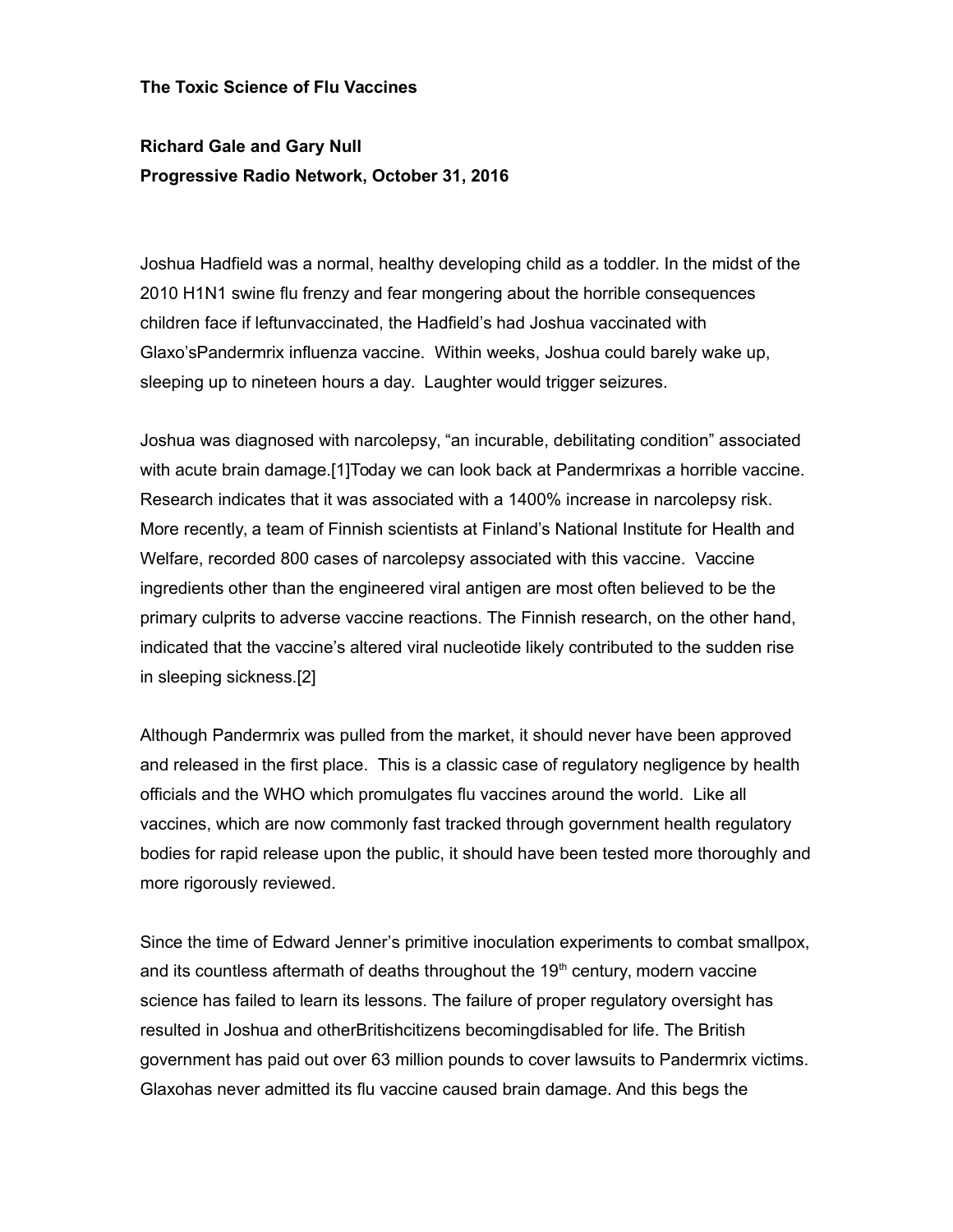## **The Toxic Science of Flu Vaccines**

## **Richard Gale and Gary Null Progressive Radio Network, October 31, 2016**

Joshua Hadfield was a normal, healthy developing child as a toddler. In the midst of the 2010 H1N1 swine flu frenzy and fear mongering about the horrible consequences children face if leftunvaccinated, the Hadfield's had Joshua vaccinated with Glaxo'sPandermrix influenza vaccine. Within weeks, Joshua could barely wake up, sleeping up to nineteen hours a day. Laughter would trigger seizures.

Joshua was diagnosed with narcolepsy, "an incurable, debilitating condition" associated with acute brain damage.[1]Today we can look back at Pandermrixas a horrible vaccine. Research indicates that it was associated with a 1400% increase in narcolepsy risk. More recently, a team of Finnish scientists at Finland's National Institute for Health and Welfare, recorded 800 cases of narcolepsy associated with this vaccine. Vaccine ingredients other than the engineered viral antigen are most often believed to be the primary culprits to adverse vaccine reactions. The Finnish research, on the other hand, indicated that the vaccine's altered viral nucleotide likely contributed to the sudden rise in sleeping sickness.[2]

Although Pandermrix was pulled from the market, it should never have been approved and released in the first place. This is a classic case of regulatory negligence by health officials and the WHO which promulgates flu vaccines around the world. Like all vaccines, which are now commonly fast tracked through government health regulatory bodies for rapid release upon the public, it should have been tested more thoroughly and more rigorously reviewed.

Since the time of Edward Jenner's primitive inoculation experiments to combat smallpox, and its countless aftermath of deaths throughout the  $19<sup>th</sup>$  century, modern vaccine science has failed to learn its lessons. The failure of proper regulatory oversight has resulted in Joshua and otherBritishcitizens becomingdisabled for life. The British government has paid out over 63 million pounds to cover lawsuits to Pandermrix victims. Glaxohas never admitted its flu vaccine caused brain damage. And this begs the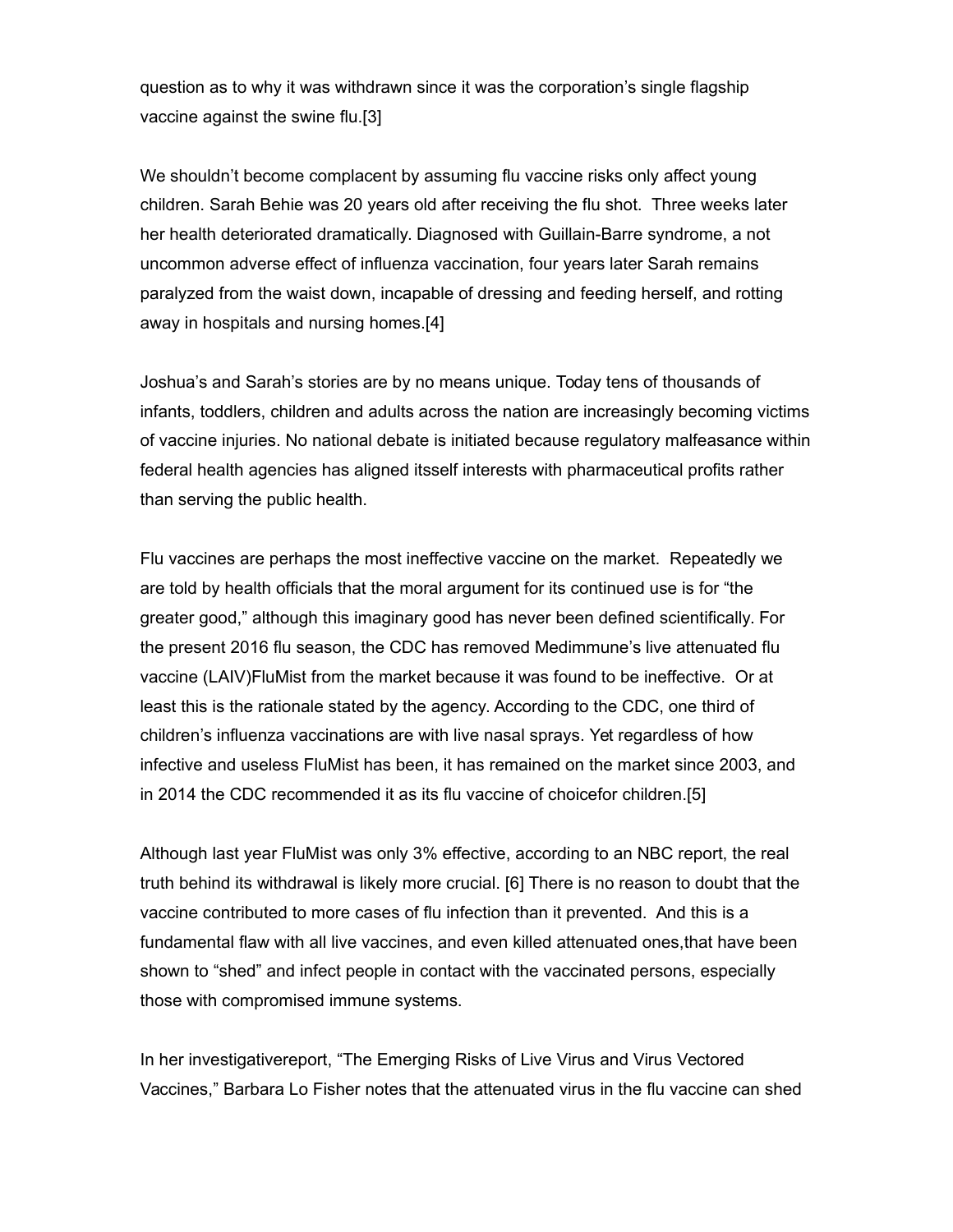question as to why it was withdrawn since it was the corporation's single flagship vaccine against the swine flu.[3]

We shouldn't become complacent by assuming flu vaccine risks only affect young children. Sarah Behie was 20 years old after receiving the flu shot. Three weeks later her health deteriorated dramatically. Diagnosed with Guillain-Barre syndrome, a not uncommon adverse effect of influenza vaccination, four years later Sarah remains paralyzed from the waist down, incapable of dressing and feeding herself, and rotting away in hospitals and nursing homes.[4]

Joshua's and Sarah's stories are by no means unique. Today tens of thousands of infants, toddlers, children and adults across the nation are increasingly becoming victims of vaccine injuries. No national debate is initiated because regulatory malfeasance within federal health agencies has aligned itsself interests with pharmaceutical profits rather than serving the public health.

Flu vaccines are perhaps the most ineffective vaccine on the market. Repeatedly we are told by health officials that the moral argument for its continued use is for "the greater good," although this imaginary good has never been defined scientifically. For the present 2016 flu season, the CDC has removed Medimmune's live attenuated flu vaccine (LAIV)FluMist from the market because it was found to be ineffective. Or at least this is the rationale stated by the agency. According to the CDC, one third of children's influenza vaccinations are with live nasal sprays. Yet regardless of how infective and useless FluMist has been, it has remained on the market since 2003, and in 2014 the CDC recommended it as its flu vaccine of choicefor children.[5]

Although last year FluMist was only 3% effective, according to an NBC report, the real truth behind its withdrawal is likely more crucial. [6] There is no reason to doubt that the vaccine contributed to more cases of flu infection than it prevented. And this is a fundamental flaw with all live vaccines, and even killed attenuated ones,that have been shown to "shed" and infect people in contact with the vaccinated persons, especially those with compromised immune systems.

In her investigativereport, "The Emerging Risks of Live Virus and Virus Vectored Vaccines," Barbara Lo Fisher notes that the attenuated virus in the flu vaccine can shed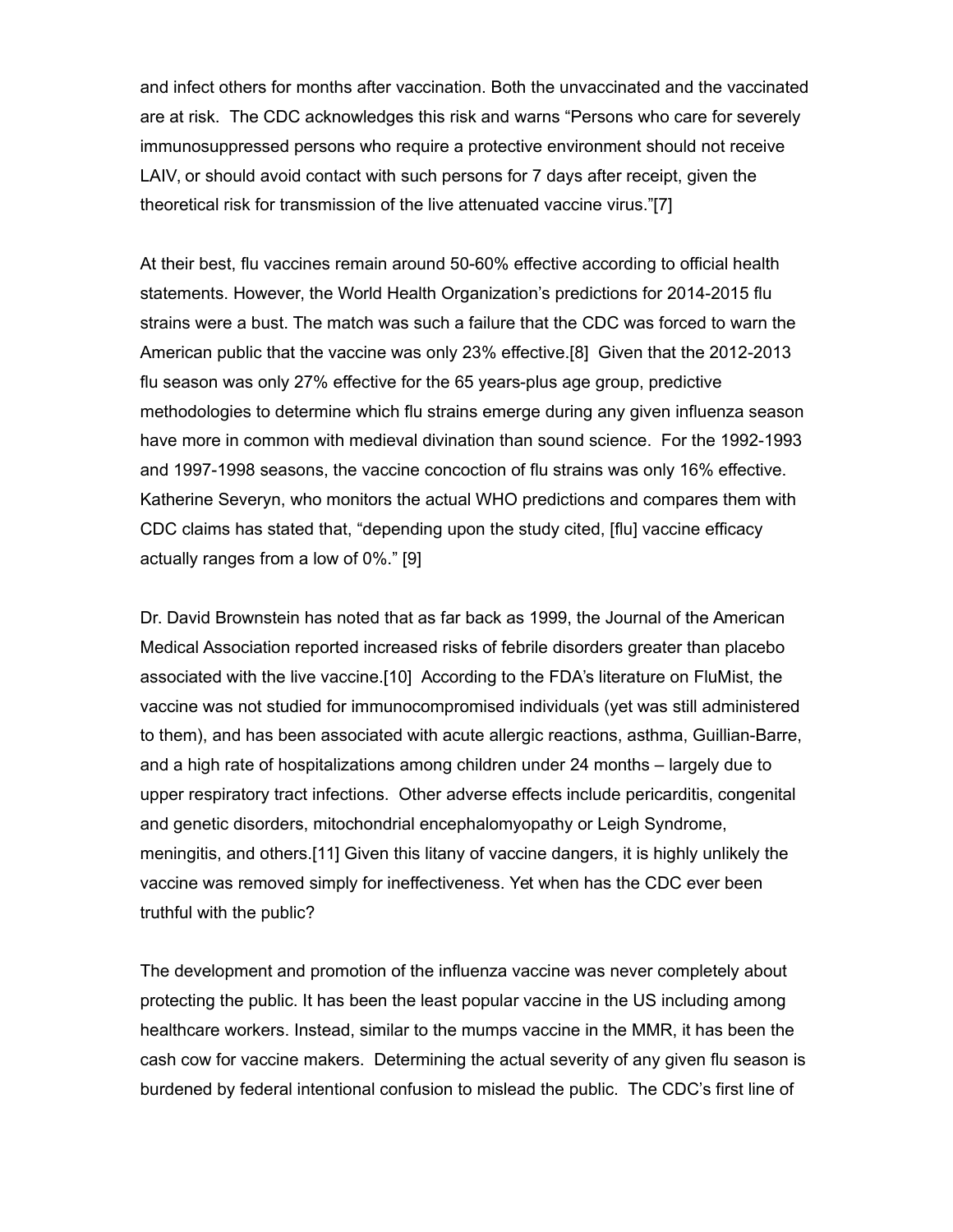and infect others for months after vaccination. Both the unvaccinated and the vaccinated are at risk. The CDC acknowledges this risk and warns "Persons who care for severely immunosuppressed persons who require a protective environment should not receive LAIV, or should avoid contact with such persons for 7 days after receipt, given the theoretical risk for transmission of the live attenuated vaccine virus."[7]

At their best, flu vaccines remain around 50-60% effective according to official health statements. However, the World Health Organization's predictions for 2014-2015 flu strains were a bust. The match was such a failure that the CDC was forced to warn the American public that the vaccine was only 23% effective.[8] Given that the 2012-2013 flu season was only 27% effective for the 65 years-plus age group, predictive methodologies to determine which flu strains emerge during any given influenza season have more in common with medieval divination than sound science. For the 1992-1993 and 1997-1998 seasons, the vaccine concoction of flu strains was only 16% effective. Katherine Severyn, who monitors the actual WHO predictions and compares them with CDC claims has stated that, "depending upon the study cited, [flu] vaccine efficacy actually ranges from a low of 0%." [9]

Dr. David Brownstein has noted that as far back as 1999, the Journal of the American Medical Association reported increased risks of febrile disorders greater than placebo associated with the live vaccine.[10] According to the FDA's literature on FluMist, the vaccine was not studied for immunocompromised individuals (yet was still administered to them), and has been associated with acute allergic reactions, asthma, Guillian-Barre, and a high rate of hospitalizations among children under 24 months – largely due to upper respiratory tract infections. Other adverse effects include pericarditis, congenital and genetic disorders, mitochondrial encephalomyopathy or Leigh Syndrome, meningitis, and others.[11] Given this litany of vaccine dangers, it is highly unlikely the vaccine was removed simply for ineffectiveness. Yet when has the CDC ever been truthful with the public?

The development and promotion of the influenza vaccine was never completely about protecting the public. It has been the least popular vaccine in the US including among healthcare workers. Instead, similar to the mumps vaccine in the MMR, it has been the cash cow for vaccine makers. Determining the actual severity of any given flu season is burdened by federal intentional confusion to mislead the public. The CDC's first line of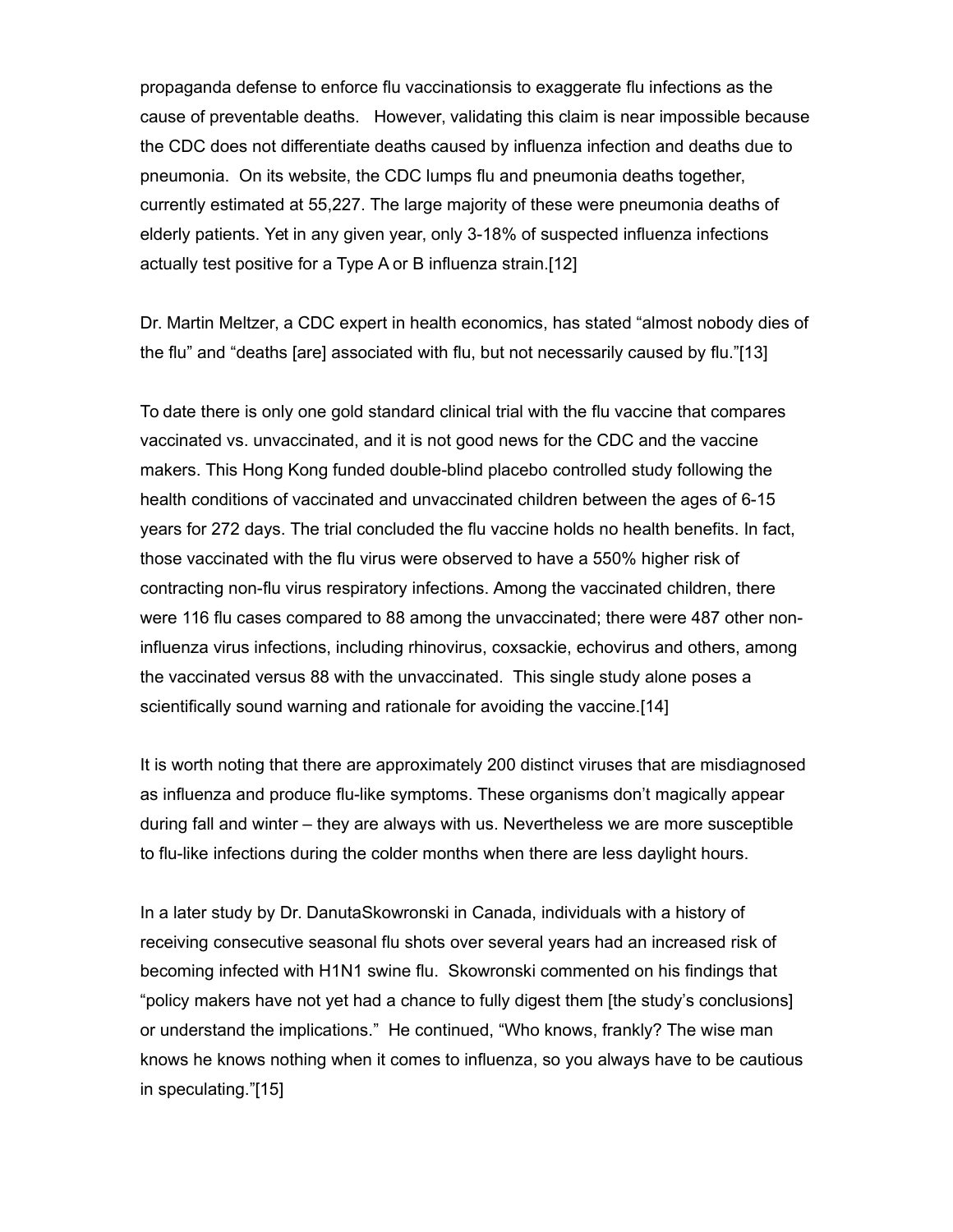propaganda defense to enforce flu vaccinationsis to exaggerate flu infections as the cause of preventable deaths. However, validating this claim is near impossible because the CDC does not differentiate deaths caused by influenza infection and deaths due to pneumonia. On its website, the CDC lumps flu and pneumonia deaths together, currently estimated at 55,227. The large majority of these were pneumonia deaths of elderly patients. Yet in any given year, only 3-18% of suspected influenza infections actually test positive for a Type A or B influenza strain.[12]

Dr. Martin Meltzer, a CDC expert in health economics, has stated "almost nobody dies of the flu" and "deaths [are] associated with flu, but not necessarily caused by flu."[13]

To date there is only one gold standard clinical trial with the flu vaccine that compares vaccinated vs. unvaccinated, and it is not good news for the CDC and the vaccine makers. This Hong Kong funded double-blind placebo controlled study following the health conditions of vaccinated and unvaccinated children between the ages of 6-15 years for 272 days. The trial concluded the flu vaccine holds no health benefits. In fact, those vaccinated with the flu virus were observed to have a 550% higher risk of contracting non-flu virus respiratory infections. Among the vaccinated children, there were 116 flu cases compared to 88 among the unvaccinated; there were 487 other noninfluenza virus infections, including rhinovirus, coxsackie, echovirus and others, among the vaccinated versus 88 with the unvaccinated. This single study alone poses a scientifically sound warning and rationale for avoiding the vaccine.[14]

It is worth noting that there are approximately 200 distinct viruses that are misdiagnosed as influenza and produce flu-like symptoms. These organisms don't magically appear during fall and winter – they are always with us. Nevertheless we are more susceptible to flu-like infections during the colder months when there are less daylight hours.

In a later study by Dr. DanutaSkowronski in Canada, individuals with a history of receiving consecutive seasonal flu shots over several years had an increased risk of becoming infected with H1N1 swine flu. Skowronski commented on his findings that "policy makers have not yet had a chance to fully digest them [the study's conclusions] or understand the implications." He continued, "Who knows, frankly? The wise man knows he knows nothing when it comes to influenza, so you always have to be cautious in speculating."[15]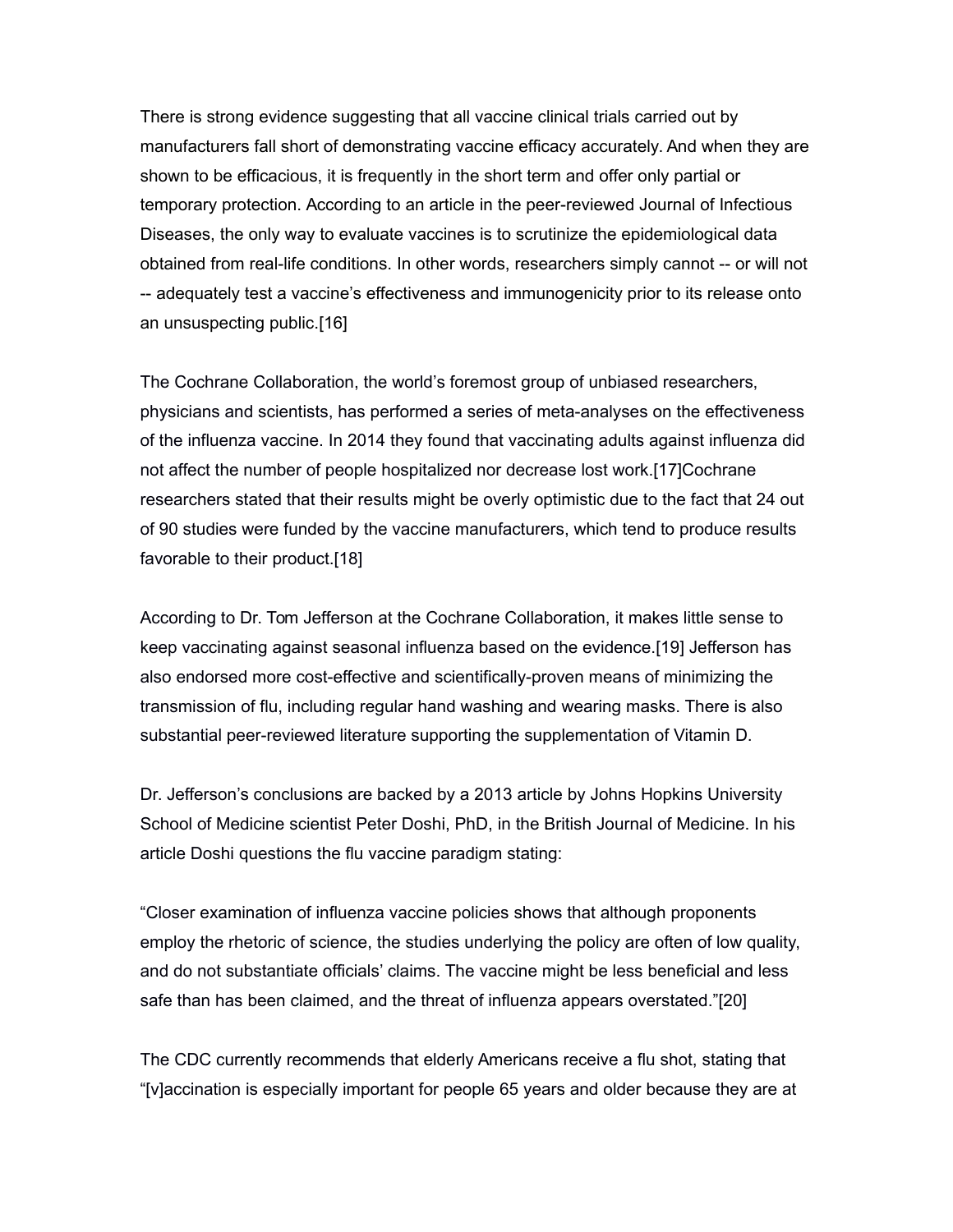There is strong evidence suggesting that all vaccine clinical trials carried out by manufacturers fall short of demonstrating vaccine efficacy accurately. And when they are shown to be efficacious, it is frequently in the short term and offer only partial or temporary protection. According to an article in the peer-reviewed Journal of Infectious Diseases, the only way to evaluate vaccines is to scrutinize the epidemiological data obtained from real-life conditions. In other words, researchers simply cannot -- or will not -- adequately test a vaccine's effectiveness and immunogenicity prior to its release onto an unsuspecting public.[16]

The Cochrane Collaboration, the world's foremost group of unbiased researchers, physicians and scientists, has performed a series of meta-analyses on the effectiveness of the influenza vaccine. In 2014 they found that vaccinating adults against influenza did not affect the number of people hospitalized nor decrease lost work.[17]Cochrane researchers stated that their results might be overly optimistic due to the fact that 24 out of 90 studies were funded by the vaccine manufacturers, which tend to produce results favorable to their product.[18]

According to Dr. Tom Jefferson at the Cochrane Collaboration, it makes little sense to keep vaccinating against seasonal influenza based on the evidence.[19] Jefferson has also endorsed more cost-effective and scientifically-proven means of minimizing the transmission of flu, including regular hand washing and wearing masks. There is also substantial peer-reviewed literature supporting the supplementation of Vitamin D.

Dr. Jefferson's conclusions are backed by a 2013 article by Johns Hopkins University School of Medicine scientist Peter Doshi, PhD, in the British Journal of Medicine. In his article Doshi questions the flu vaccine paradigm stating:

"Closer examination of influenza vaccine policies shows that although proponents employ the rhetoric of science, the studies underlying the policy are often of low quality, and do not substantiate officials' claims. The vaccine might be less beneficial and less safe than has been claimed, and the threat of influenza appears overstated."[20]

The CDC currently recommends that elderly Americans receive a flu shot, stating that "[v]accination is especially important for people 65 years and older because they are at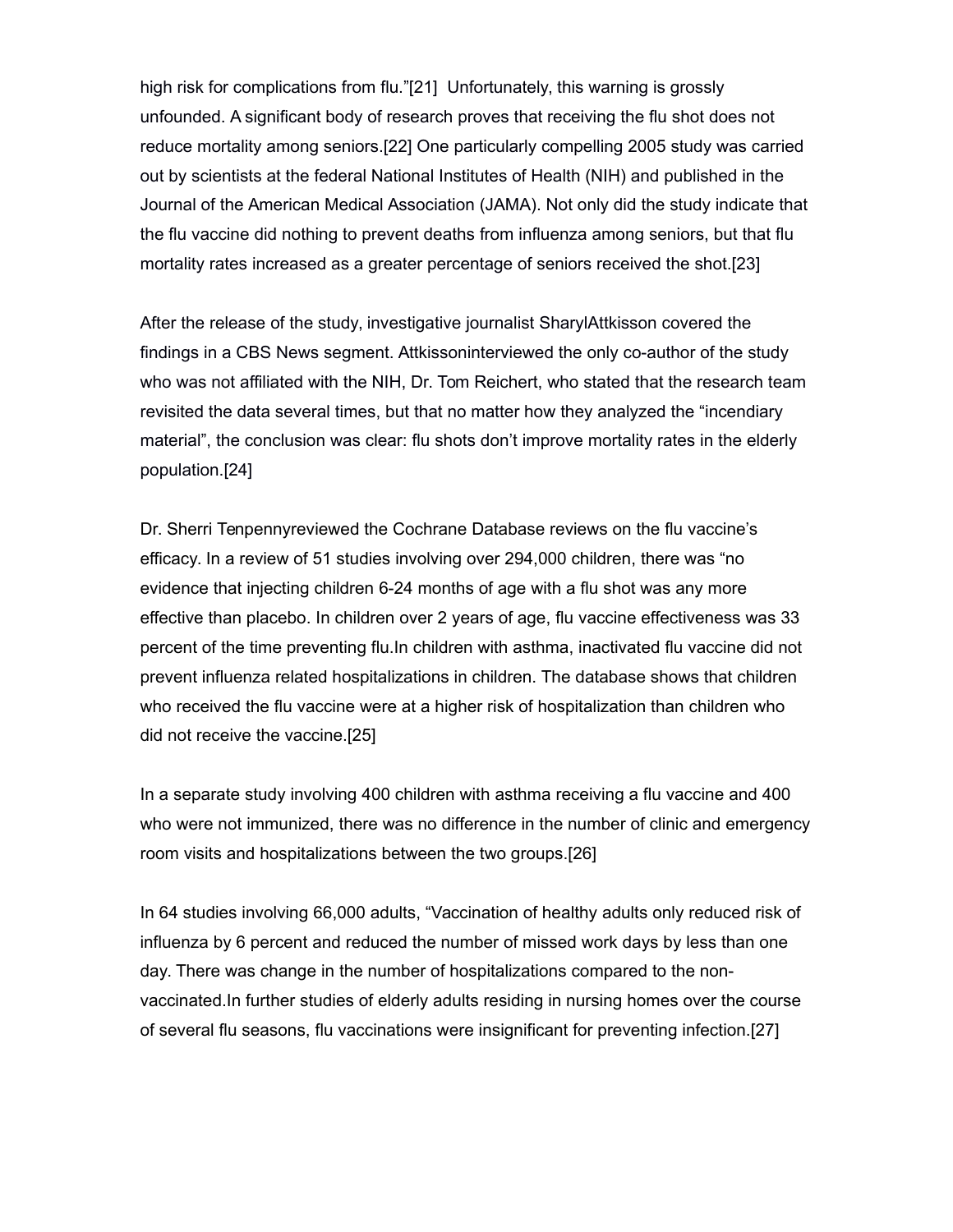high risk for complications from flu."[21] Unfortunately, this warning is grossly unfounded. A significant body of research proves that receiving the flu shot does not reduce mortality among seniors.[22] One particularly compelling 2005 study was carried out by scientists at the federal National Institutes of Health (NIH) and published in the Journal of the American Medical Association (JAMA). Not only did the study indicate that the flu vaccine did nothing to prevent deaths from influenza among seniors, but that flu mortality rates increased as a greater percentage of seniors received the shot.[23]

After the release of the study, investigative journalist SharylAttkisson covered the findings in a CBS News segment. Attkissoninterviewed the only co-author of the study who was not affiliated with the NIH, Dr. Tom Reichert, who stated that the research team revisited the data several times, but that no matter how they analyzed the "incendiary material", the conclusion was clear: flu shots don't improve mortality rates in the elderly population.[24]

Dr. Sherri Tenpennyreviewed the Cochrane Database reviews on the flu vaccine's efficacy. In a review of 51 studies involving over 294,000 children, there was "no evidence that injecting children 6-24 months of age with a flu shot was any more effective than placebo. In children over 2 years of age, flu vaccine effectiveness was 33 percent of the time preventing flu.In children with asthma, inactivated flu vaccine did not prevent influenza related hospitalizations in children. The database shows that children who received the flu vaccine were at a higher risk of hospitalization than children who did not receive the vaccine.[25]

In a separate study involving 400 children with asthma receiving a flu vaccine and 400 who were not immunized, there was no difference in the number of clinic and emergency room visits and hospitalizations between the two groups.[26]

In 64 studies involving 66,000 adults, "Vaccination of healthy adults only reduced risk of influenza by 6 percent and reduced the number of missed work days by less than one day. There was change in the number of hospitalizations compared to the nonvaccinated.In further studies of elderly adults residing in nursing homes over the course of several flu seasons, flu vaccinations were insignificant for preventing infection.[27]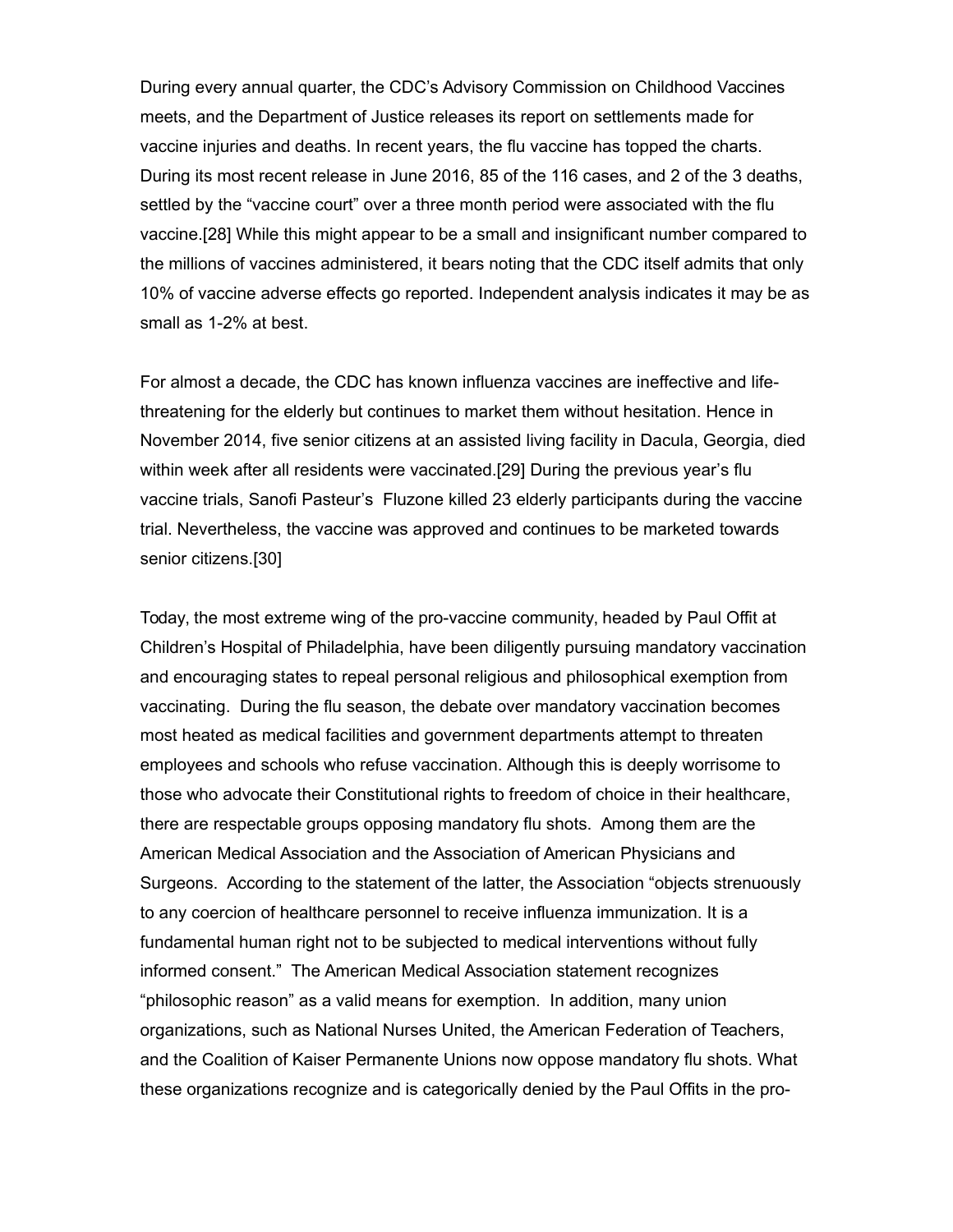During every annual quarter, the CDC's Advisory Commission on Childhood Vaccines meets, and the Department of Justice releases its report on settlements made for vaccine injuries and deaths. In recent years, the flu vaccine has topped the charts. During its most recent release in June 2016, 85 of the 116 cases, and 2 of the 3 deaths, settled by the "vaccine court" over a three month period were associated with the flu vaccine.[28] While this might appear to be a small and insignificant number compared to the millions of vaccines administered, it bears noting that the CDC itself admits that only 10% of vaccine adverse effects go reported. Independent analysis indicates it may be as small as 1-2% at best.

For almost a decade, the CDC has known influenza vaccines are ineffective and lifethreatening for the elderly but continues to market them without hesitation. Hence in November 2014, five senior citizens at an assisted living facility in Dacula, Georgia, died within week after all residents were vaccinated.[29] During the previous year's flu vaccine trials, Sanofi Pasteur's Fluzone killed 23 elderly participants during the vaccine trial. Nevertheless, the vaccine was approved and continues to be marketed towards senior citizens.[30]

Today, the most extreme wing of the pro-vaccine community, headed by Paul Offit at Children's Hospital of Philadelphia, have been diligently pursuing mandatory vaccination and encouraging states to repeal personal religious and philosophical exemption from vaccinating. During the flu season, the debate over mandatory vaccination becomes most heated as medical facilities and government departments attempt to threaten employees and schools who refuse vaccination. Although this is deeply worrisome to those who advocate their Constitutional rights to freedom of choice in their healthcare, there are respectable groups opposing mandatory flu shots. Among them are the American Medical Association and the Association of American Physicians and Surgeons. According to the statement of the latter, the Association "objects strenuously to any coercion of healthcare personnel to receive influenza immunization. It is a fundamental human right not to be subjected to medical interventions without fully informed consent." The American Medical Association statement recognizes "philosophic reason" as a valid means for exemption. In addition, many union organizations, such as National Nurses United, the American Federation of Teachers, and the Coalition of Kaiser Permanente Unions now oppose mandatory flu shots. What these organizations recognize and is categorically denied by the Paul Offits in the pro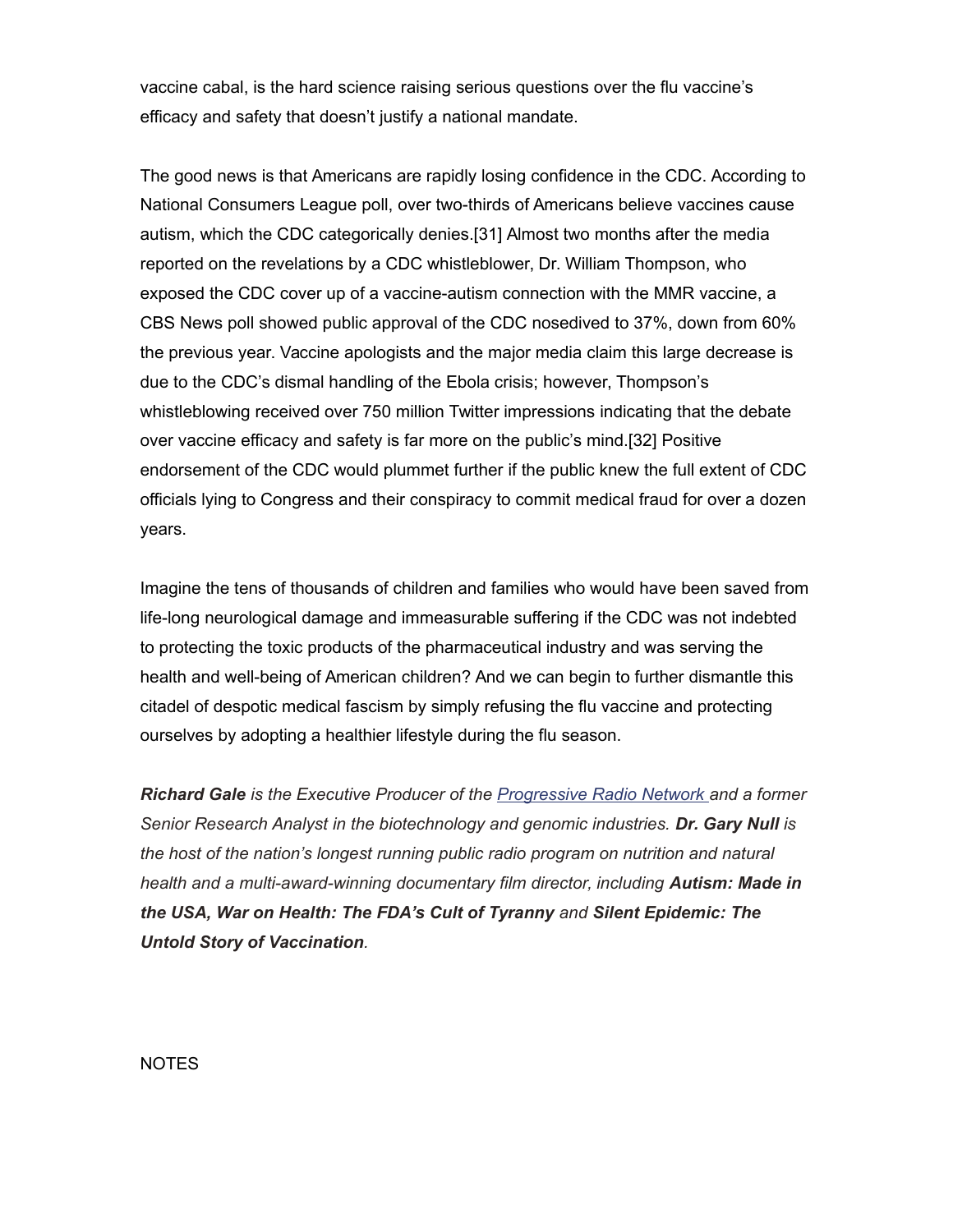vaccine cabal, is the hard science raising serious questions over the flu vaccine's efficacy and safety that doesn't justify a national mandate.

The good news is that Americans are rapidly losing confidence in the CDC. According to National Consumers League poll, over two-thirds of Americans believe vaccines cause autism, which the CDC categorically denies.[31] Almost two months after the media reported on the revelations by a CDC whistleblower, Dr. William Thompson, who exposed the CDC cover up of a vaccine-autism connection with the MMR vaccine, a CBS News poll showed public approval of the CDC nosedived to 37%, down from 60% the previous year. Vaccine apologists and the major media claim this large decrease is due to the CDC's dismal handling of the Ebola crisis; however, Thompson's whistleblowing received over 750 million Twitter impressions indicating that the debate over vaccine efficacy and safety is far more on the public's mind.[32] Positive endorsement of the CDC would plummet further if the public knew the full extent of CDC officials lying to Congress and their conspiracy to commit medical fraud for over a dozen years.

Imagine the tens of thousands of children and families who would have been saved from life-long neurological damage and immeasurable suffering if the CDC was not indebted to protecting the toxic products of the pharmaceutical industry and was serving the health and well-being of American children? And we can begin to further dismantle this citadel of despotic medical fascism by simply refusing the flu vaccine and protecting ourselves by adopting a healthier lifestyle during the flu season.

*Richard Gale is the Executive Producer of the [Progressive Radio Network a](http://www.progressiveradionetwork.com/)nd a former Senior Research Analyst in the biotechnology and genomic industries. Dr. Gary Null is the host of the nation's longest running public radio program on nutrition and natural health and a multi-award-winning documentary film director, including Autism: Made in the USA, War on Health: The FDA's Cult of Tyranny and Silent Epidemic: The Untold Story of Vaccination.*

NOTES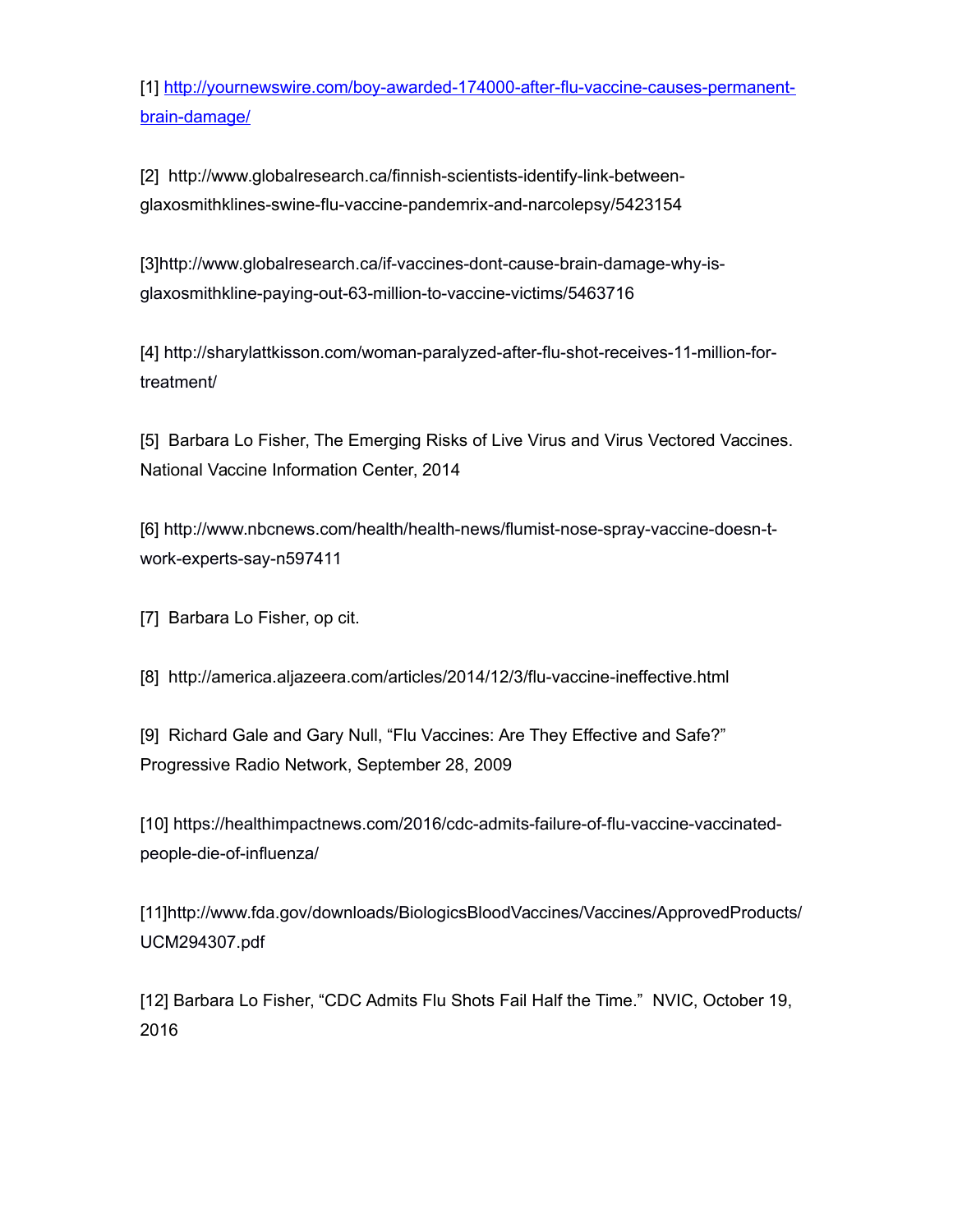[1] [http://yournewswire.com/boy-awarded-174000-after-flu-vaccine-causes-permanent](http://yournewswire.com/boy-awarded-174000-after-flu-vaccine-causes-permanent-brain-damage/)[brain-damage/](http://yournewswire.com/boy-awarded-174000-after-flu-vaccine-causes-permanent-brain-damage/)

[2] http://www.globalresearch.ca/finnish-scientists-identify-link-betweenglaxosmithklines-swine-flu-vaccine-pandemrix-and-narcolepsy/5423154

[3[\]http://www.globalresearch.ca/if-vaccines-dont-cause-brain-damage-why-is](http://www.globalresearch.ca/if-vaccines-dont-cause-brain-damage-why-is-glaxosmithkline-paying-out-63-million-to-vaccine-victims/5463716)[glaxosmithkline-paying-out-63-million-to-vaccine-victims/5463716](http://www.globalresearch.ca/if-vaccines-dont-cause-brain-damage-why-is-glaxosmithkline-paying-out-63-million-to-vaccine-victims/5463716)

[4] [http://sharylattkisson.com/woman-paralyzed-after-flu-shot-receives-11-million-for](http://sharylattkisson.com/woman-paralyzed-after-flu-shot-receives-11-million-for-treatment/)[treatment/](http://sharylattkisson.com/woman-paralyzed-after-flu-shot-receives-11-million-for-treatment/)

[5] Barbara Lo Fisher, The Emerging Risks of Live Virus and Virus Vectored Vaccines. National Vaccine Information Center, 2014

[6] [http://www.nbcnews.com/health/health-news/flumist-nose-spray-vaccine-doesn-t](http://www.nbcnews.com/health/health-news/flumist-nose-spray-vaccine-doesn-t-work-experts-say-n597411)[work-experts-say-n597411](http://www.nbcnews.com/health/health-news/flumist-nose-spray-vaccine-doesn-t-work-experts-say-n597411)

[7] Barbara Lo Fisher, op cit.

[8] http://america.aljazeera.com/articles/2014/12/3/flu-vaccine-ineffective.html

[9] Richard Gale and Gary Null, "Flu Vaccines: Are They Effective and Safe?" Progressive Radio Network, September 28, 2009

[10] [https://healthimpactnews.com/2016/cdc-admits-failure-of-flu-vaccine-vaccinated](https://healthimpactnews.com/2016/cdc-admits-failure-of-flu-vaccine-vaccinated-people-die-of-influenza/)[people-die-of-influenza/](https://healthimpactnews.com/2016/cdc-admits-failure-of-flu-vaccine-vaccinated-people-die-of-influenza/)

[11[\]http://www.fda.gov/downloads/BiologicsBloodVaccines/Vaccines/ApprovedProducts/](http://www.fda.gov/downloads/BiologicsBloodVaccines/Vaccines/ApprovedProducts/UCM294307.pdf) [UCM294307.pdf](http://www.fda.gov/downloads/BiologicsBloodVaccines/Vaccines/ApprovedProducts/UCM294307.pdf)

[12] Barbara Lo Fisher, "CDC Admits Flu Shots Fail Half the Time." NVIC, October 19, 2016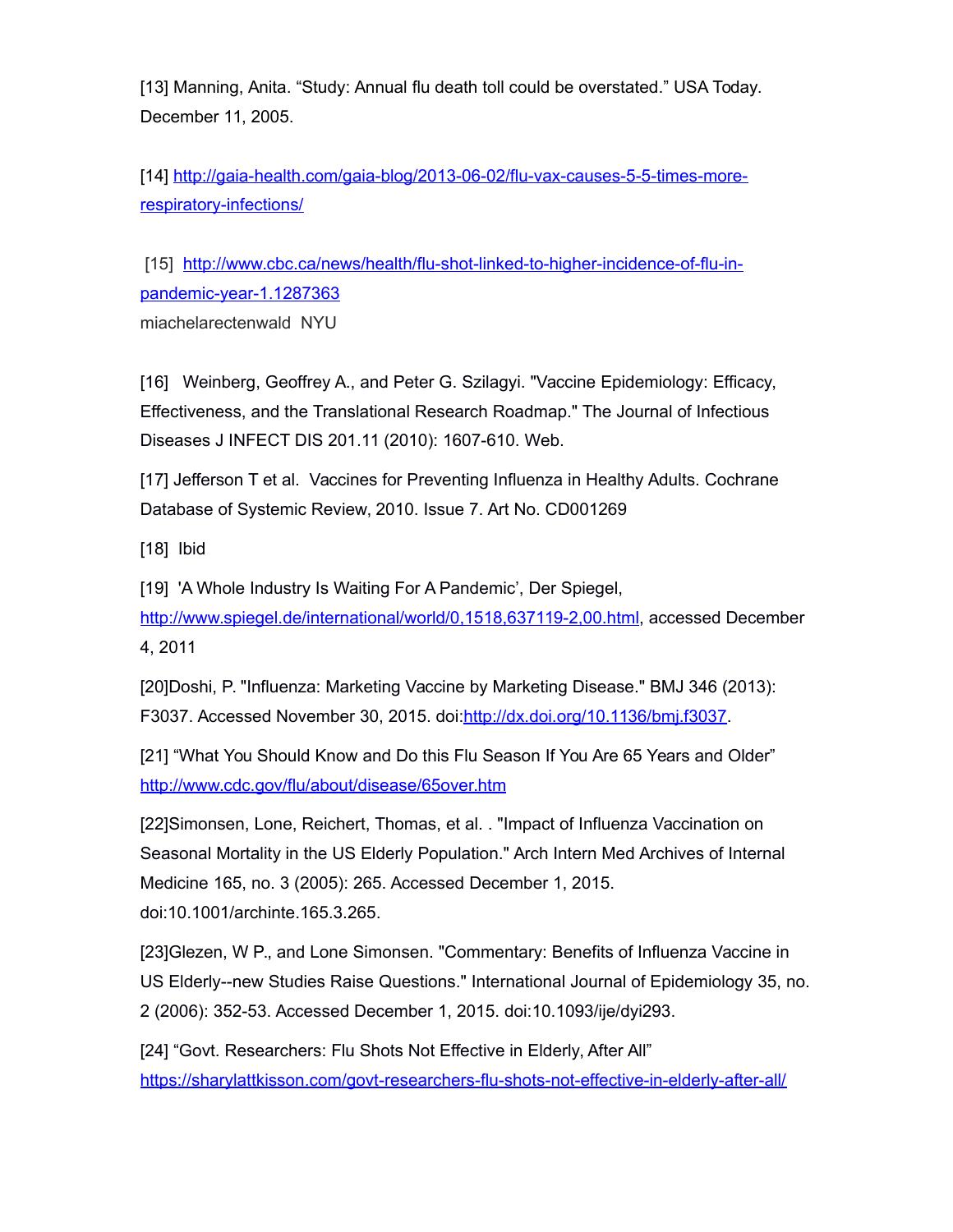[13] Manning, Anita. "Study: Annual flu death toll could be overstated." USA Today. December 11, 2005.

[14] [http://gaia-health.com/gaia-blog/2013-06-02/flu-vax-causes-5-5-times-more](http://gaia-health.com/gaia-blog/2013-06-02/flu-vax-causes-5-5-times-more-respiratory-infections/)[respiratory-infections/](http://gaia-health.com/gaia-blog/2013-06-02/flu-vax-causes-5-5-times-more-respiratory-infections/)

[15] [http://www.cbc.ca/news/health/flu-shot-linked-to-higher-incidence-of-flu-in](http://www.cbc.ca/news/health/flu-shot-linked-to-higher-incidence-of-flu-in-pandemic-year-1.1287363)[pandemic-year-1.1287363](http://www.cbc.ca/news/health/flu-shot-linked-to-higher-incidence-of-flu-in-pandemic-year-1.1287363) miachelarectenwald NYU

[16] Weinberg, Geoffrey A., and Peter G. Szilagyi. "Vaccine Epidemiology: Efficacy, Effectiveness, and the Translational Research Roadmap." The Journal of Infectious Diseases J INFECT DIS 201.11 (2010): 1607-610. Web.

[17] Jefferson T et al. Vaccines for Preventing Influenza in Healthy Adults. Cochrane Database of Systemic Review, 2010. Issue 7. Art No. CD001269

[18] Ibid

[19] 'A Whole Industry Is Waiting For A Pandemic', Der Spiegel,

[http://www.spiegel.de/international/world/0,1518,637119-2,00.html,](http://www.spiegel.de/international/world/0,1518,637119-2,00.html) accessed December 4, 2011

[20]Doshi, P. "Influenza: Marketing Vaccine by Marketing Disease." BMJ 346 (2013): F3037. Accessed November 30, 2015. doi[:http://dx.doi.org/10.1136/bmj.f3037.](http://dx.doi.org/10.1136/bmj.f3037)

[21] "What You Should Know and Do this Flu Season If You Are 65 Years and Older" <http://www.cdc.gov/flu/about/disease/65over.htm>

[22]Simonsen, Lone, Reichert, Thomas, et al. . "Impact of Influenza Vaccination on Seasonal Mortality in the US Elderly Population." Arch Intern Med Archives of Internal Medicine 165, no. 3 (2005): 265. Accessed December 1, 2015. doi:10.1001/archinte.165.3.265.

[23]Glezen, W P., and Lone Simonsen. "Commentary: Benefits of Influenza Vaccine in US Elderly--new Studies Raise Questions." International Journal of Epidemiology 35, no. 2 (2006): 352-53. Accessed December 1, 2015. doi:10.1093/ije/dyi293.

[24] "Govt. Researchers: Flu Shots Not Effective in Elderly, After All" <https://sharylattkisson.com/govt-researchers-flu-shots-not-effective-in-elderly-after-all/>